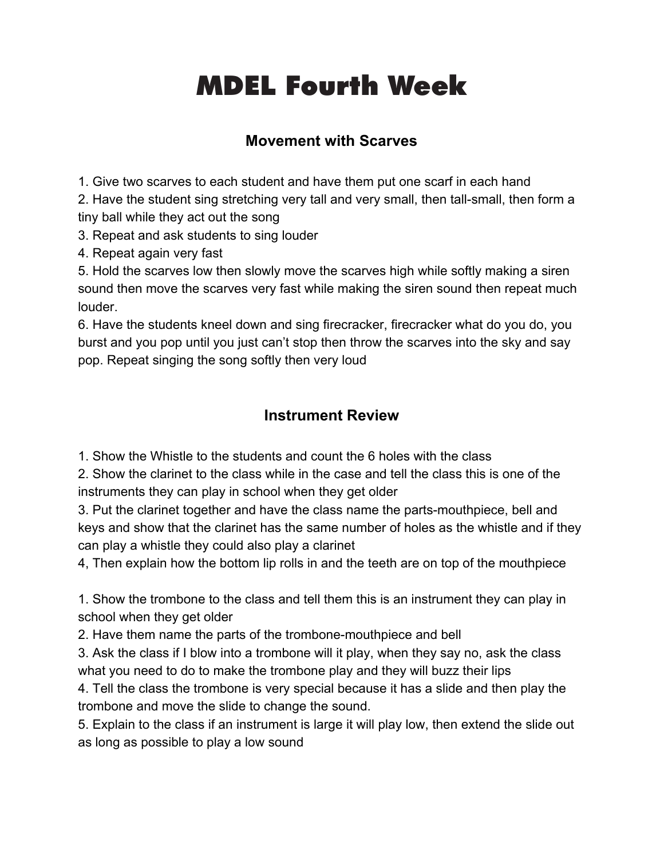# **Fourth Head Start Week** MDEL Fourth Week

# **Movement with Scarves**

1. Give two scarves to each student and have them put one scarf in each hand

2. Have the student sing stretching very tall and very small, then tall-small, then form a tiny ball while they act out the song

3. Repeat and ask students to sing louder

4. Repeat again very fast

5. Hold the scarves low then slowly move the scarves high while softly making a siren sound then move the scarves very fast while making the siren sound then repeat much louder.

6. Have the students kneel down and sing firecracker, firecracker what do you do, you burst and you pop until you just can't stop then throw the scarves into the sky and say pop. Repeat singing the song softly then very loud

# **Instrument Review**

1. Show the Whistle to the students and count the 6 holes with the class

2. Show the clarinet to the class while in the case and tell the class this is one of the instruments they can play in school when they get older

3. Put the clarinet together and have the class name the parts-mouthpiece, bell and keys and show that the clarinet has the same number of holes as the whistle and if they can play a whistle they could also play a clarinet

4, Then explain how the bottom lip rolls in and the teeth are on top of the mouthpiece

1. Show the trombone to the class and tell them this is an instrument they can play in school when they get older

2. Have them name the parts of the trombone-mouthpiece and bell

3. Ask the class if I blow into a trombone will it play, when they say no, ask the class what you need to do to make the trombone play and they will buzz their lips

4. Tell the class the trombone is very special because it has a slide and then play the trombone and move the slide to change the sound.

5. Explain to the class if an instrument is large it will play low, then extend the slide out as long as possible to play a low sound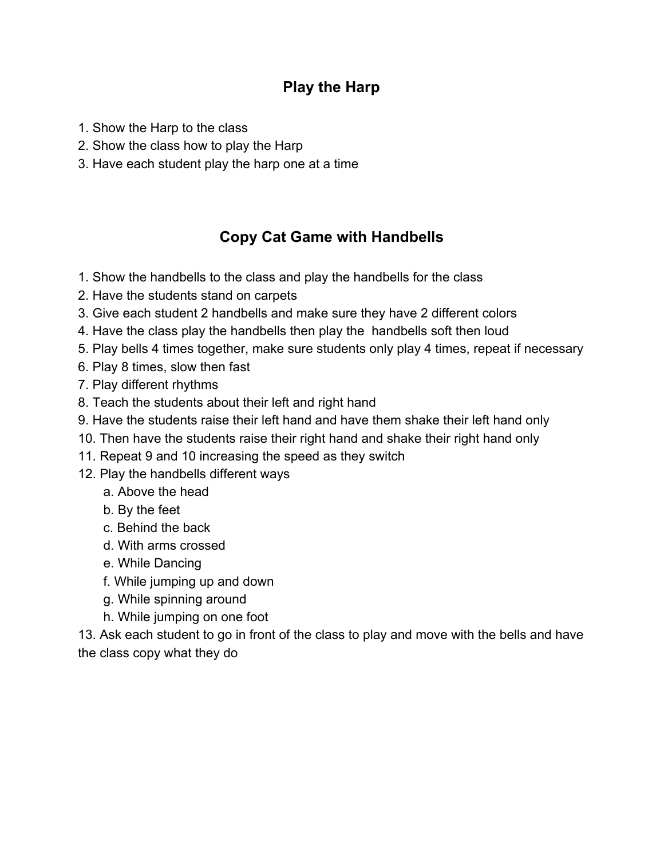#### **Play the Harp**

- 1. Show the Harp to the class
- 2. Show the class how to play the Harp
- 3. Have each student play the harp one at a time

# **Copy Cat Game with Handbells**

- 1. Show the handbells to the class and play the handbells for the class
- 2. Have the students stand on carpets
- 3. Give each student 2 handbells and make sure they have 2 different colors
- 4. Have the class play the handbells then play the handbells soft then loud
- 5. Play bells 4 times together, make sure students only play 4 times, repeat if necessary
- 6. Play 8 times, slow then fast
- 7. Play different rhythms
- 8. Teach the students about their left and right hand
- 9. Have the students raise their left hand and have them shake their left hand only
- 10. Then have the students raise their right hand and shake their right hand only
- 11. Repeat 9 and 10 increasing the speed as they switch
- 12. Play the handbells different ways
	- a. Above the head
	- b. By the feet
	- c. Behind the back
	- d. With arms crossed
	- e. While Dancing
	- f. While jumping up and down
	- g. While spinning around
	- h. While jumping on one foot

13. Ask each student to go in front of the class to play and move with the bells and have the class copy what they do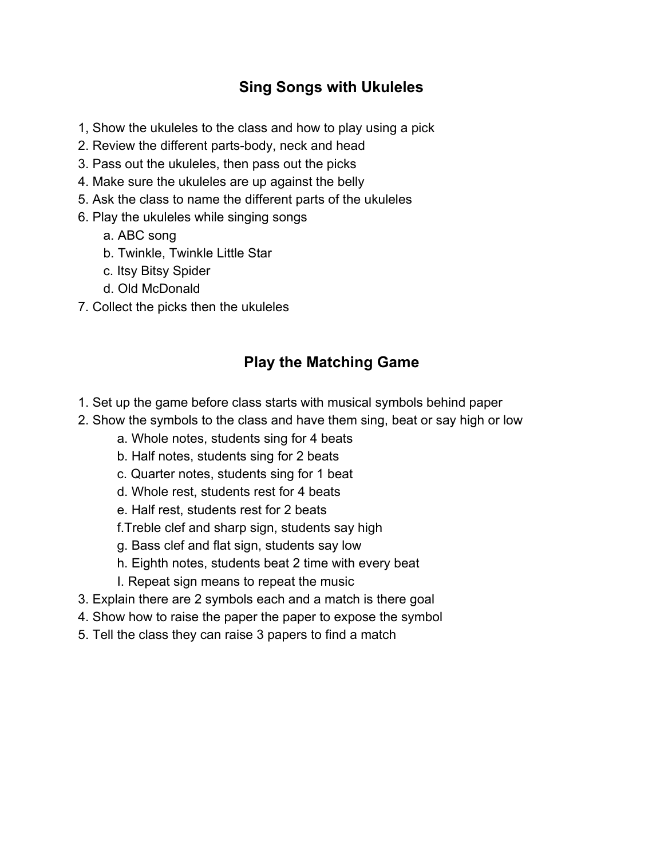# **Sing Songs with Ukuleles**

- 1, Show the ukuleles to the class and how to play using a pick
- 2. Review the different parts-body, neck and head
- 3. Pass out the ukuleles, then pass out the picks
- 4. Make sure the ukuleles are up against the belly
- 5. Ask the class to name the different parts of the ukuleles
- 6. Play the ukuleles while singing songs
	- a. ABC song
	- b. Twinkle, Twinkle Little Star
	- c. Itsy Bitsy Spider
	- d. Old McDonald
- 7. Collect the picks then the ukuleles

# **Play the Matching Game**

- 1. Set up the game before class starts with musical symbols behind paper
- 2. Show the symbols to the class and have them sing, beat or say high or low
	- a. Whole notes, students sing for 4 beats
	- b. Half notes, students sing for 2 beats
	- c. Quarter notes, students sing for 1 beat
	- d. Whole rest, students rest for 4 beats
	- e. Half rest, students rest for 2 beats
	- f.Treble clef and sharp sign, students say high
	- g. Bass clef and flat sign, students say low
	- h. Eighth notes, students beat 2 time with every beat
	- I. Repeat sign means to repeat the music
- 3. Explain there are 2 symbols each and a match is there goal
- 4. Show how to raise the paper the paper to expose the symbol
- 5. Tell the class they can raise 3 papers to find a match